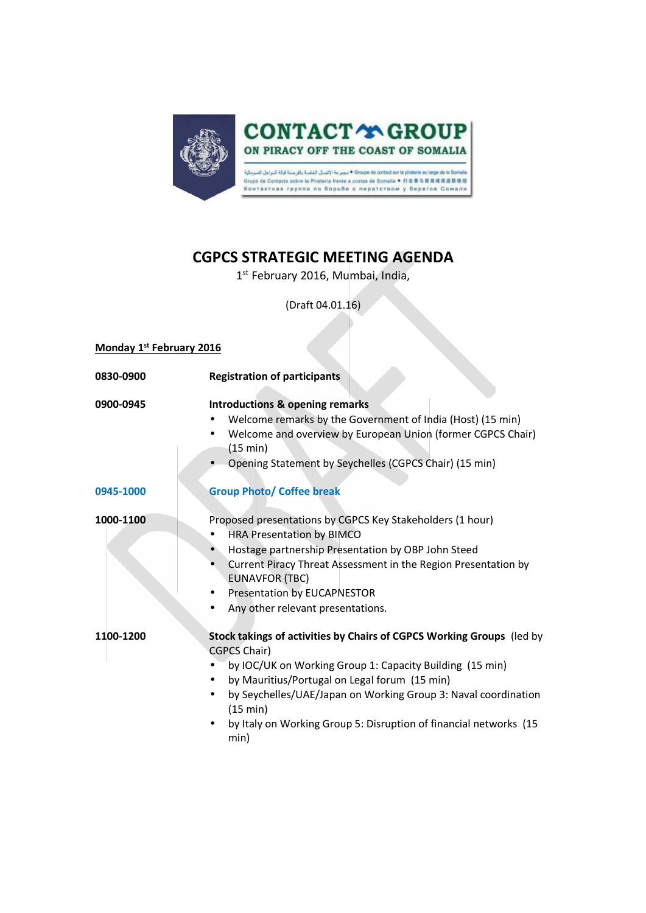

## **CGPCS STRATEGIC MEETING AGENDA**

1 st February 2016, Mumbai, India,

(Draft 04.01.16)

| Monday 1 <sup>st</sup> February 2016 |                                                                                                                                                                                                                                                                                                                                                                            |
|--------------------------------------|----------------------------------------------------------------------------------------------------------------------------------------------------------------------------------------------------------------------------------------------------------------------------------------------------------------------------------------------------------------------------|
| 0830-0900                            | <b>Registration of participants</b>                                                                                                                                                                                                                                                                                                                                        |
| 0900-0945                            | <b>Introductions &amp; opening remarks</b><br>Welcome remarks by the Government of India (Host) (15 min)<br>$\bullet$<br>Welcome and overview by European Union (former CGPCS Chair)<br>$\bullet$<br>(15 min)<br>Opening Statement by Seychelles (CGPCS Chair) (15 min)                                                                                                    |
| 0945-1000                            | <b>Group Photo/ Coffee break</b>                                                                                                                                                                                                                                                                                                                                           |
| 1000-1100                            | Proposed presentations by CGPCS Key Stakeholders (1 hour)<br><b>HRA Presentation by BIMCO</b><br>Hostage partnership Presentation by OBP John Steed<br>Current Piracy Threat Assessment in the Region Presentation by<br><b>EUNAVFOR (TBC)</b><br><b>Presentation by EUCAPNESTOR</b><br>Any other relevant presentations.                                                  |
| 1100-1200                            | Stock takings of activities by Chairs of CGPCS Working Groups (led by<br>CGPCS Chair)<br>by IOC/UK on Working Group 1: Capacity Building (15 min)<br>by Mauritius/Portugal on Legal forum (15 min)<br>by Seychelles/UAE/Japan on Working Group 3: Naval coordination<br>$\bullet$<br>(15 min)<br>by Italy on Working Group 5: Disruption of financial networks (15<br>min) |